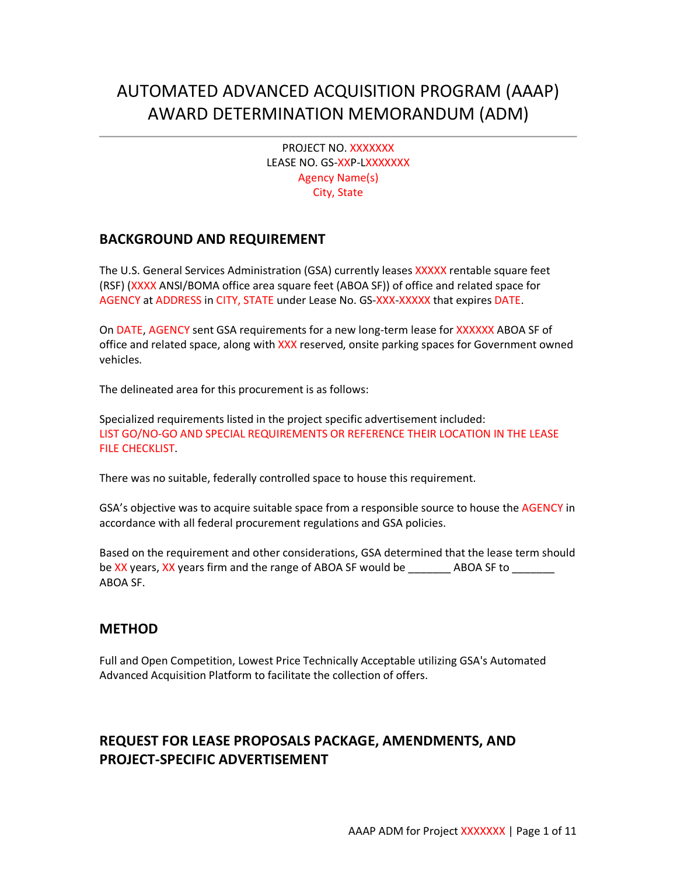# AUTOMATED ADVANCED ACQUISITION PROGRAM (AAAP) AWARD DETERMINATION MEMORANDUM (ADM)

PROJECT NO. XXXXXXX LEASE NO. GS-XXP-LXXXXXXX Agency Name(s) City, State

## **BACKGROUND AND REQUIREMENT**

The U.S. General Services Administration (GSA) currently leases XXXXX rentable square feet (RSF) (XXXX ANSI/BOMA office area square feet (ABOA SF)) of office and related space for AGENCY at ADDRESS in CITY, STATE under Lease No. GS-XXX-XXXXX that expires DATE.

On DATE, AGENCY sent GSA requirements for a new long-term lease for XXXXXX ABOA SF of office and related space, along with XXX reserved, onsite parking spaces for Government owned vehicles.

The delineated area for this procurement is as follows:

Specialized requirements listed in the project specific advertisement included: LIST GO/NO-GO AND SPECIAL REQUIREMENTS OR REFERENCE THEIR LOCATION IN THE LEASE FILE CHECKLIST.

There was no suitable, federally controlled space to house this requirement.

GSA's objective was to acquire suitable space from a responsible source to house the AGENCY in accordance with all federal procurement regulations and GSA policies.

Based on the requirement and other considerations, GSA determined that the lease term should be XX years, XX years firm and the range of ABOA SF would be \_\_\_\_\_\_\_\_\_ ABOA SF to \_\_\_\_\_\_\_\_ ABOA SF.

## **METHOD**

Full and Open Competition, Lowest Price Technically Acceptable utilizing GSA's Automated Advanced Acquisition Platform to facilitate the collection of offers.

# **REQUEST FOR LEASE PROPOSALS PACKAGE, AMENDMENTS, AND PROJECT-SPECIFIC ADVERTISEMENT**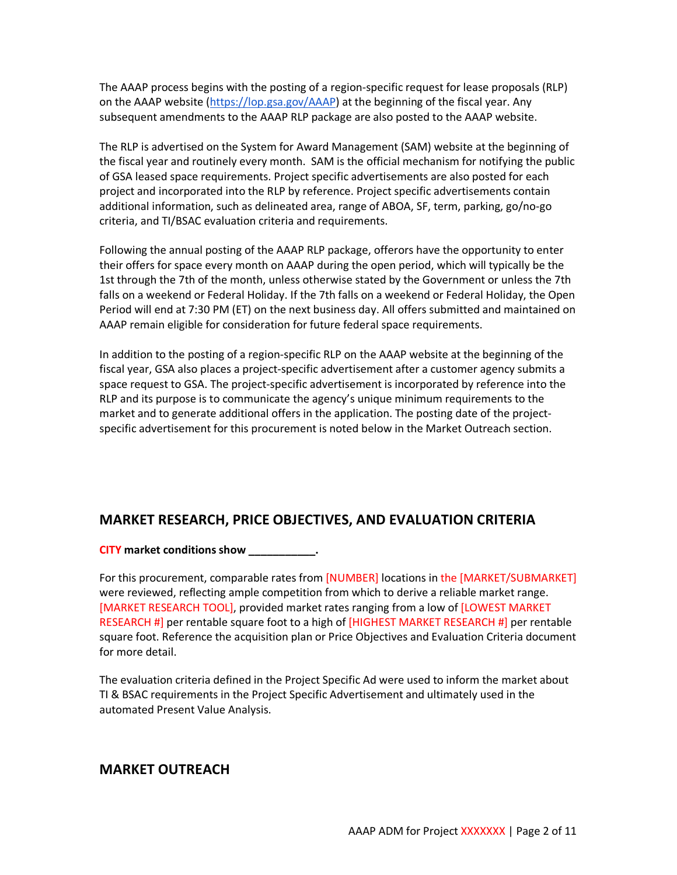The AAAP process begins with the posting of a region-specific request for lease proposals (RLP) on [the AAAP website \(https://lop.gsa.gov/AAAP\)](https://lop.gsa.gov/AAAP/LoginPage) at the beginning of the fiscal year. Any subsequent amendments to the AAAP RLP package are also posted to the AAAP website.

The RLP is advertised on [the System for Award Management \(SAM\)](https://beta.sam.gov/) website at the beginning of the fiscal year and routinely every month. SAM is the official mechanism for notifying the public of GSA leased space requirements. Project specific advertisements are also posted for each project and incorporated into the RLP by reference. Project specific advertisements contain additional information, such as delineated area, range of ABOA, SF, term, parking, go/no-go criteria, and TI/BSAC evaluation criteria and requirements.

Following the annual posting of the AAAP RLP package, offerors have the opportunity to enter their offers for space every month on AAAP during the open period, which will typically be the 1st through the 7th of the month, unless otherwise stated by the Government or unless the 7th falls on a weekend or Federal Holiday. If the 7th falls on a weekend or Federal Holiday, the Open Period will end at 7:30 PM (ET) on the next business day. All offers submitted and maintained on AAAP remain eligible for consideration for future federal space requirements.

In addition to the posting of a region-specific RLP on the AAAP website at the beginning of the fiscal year, GSA also places a project-specific advertisement after a customer agency submits a space request to GSA. The project-specific advertisement is incorporated by reference into the RLP and its purpose is to communicate the agency's unique minimum requirements to the market and to generate additional offers in the application. The posting date of the projectspecific advertisement for this procurement is noted below in the Market Outreach section.

# **MARKET RESEARCH, PRICE OBJECTIVES, AND EVALUATION CRITERIA**

### **CITY market conditions show \_\_\_\_\_\_\_\_\_\_\_.**

For this procurement, comparable rates from [NUMBER] locations in the [MARKET/SUBMARKET] were reviewed, reflecting ample competition from which to derive a reliable market range. [MARKET RESEARCH TOOL], provided market rates ranging from a low of [LOWEST MARKET RESEARCH #] per rentable square foot to a high of [HIGHEST MARKET RESEARCH #] per rentable square foot. Reference the acquisition plan or Price Objectives and Evaluation Criteria document for more detail.

The evaluation criteria defined in the Project Specific Ad were used to inform the market about TI & BSAC requirements in the Project Specific Advertisement and ultimately used in the automated Present Value Analysis.

## **MARKET OUTREACH**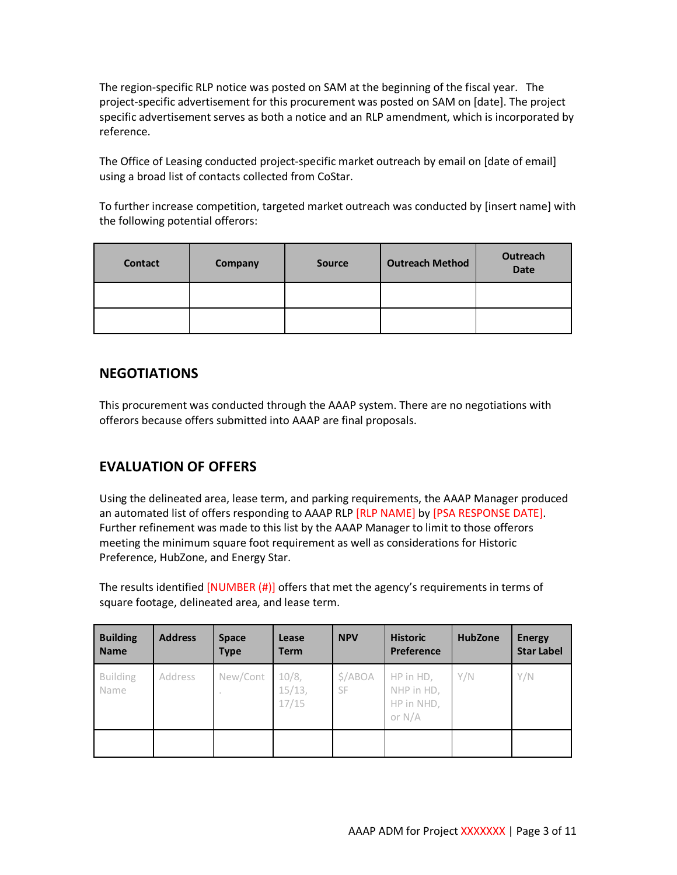The region-specific RLP notice was posted on SAM at the beginning of the fiscal year. The project-specific advertisement for this procurement was posted on SAM on [date]. The project specific advertisement serves as both a notice and an RLP amendment, which is incorporated by reference.

The Office of Leasing conducted project-specific market outreach by email on [date of email] using a broad list of contacts collected from CoStar.

To further increase competition, targeted market outreach was conducted by [insert name] with the following potential offerors:

| <b>Contact</b> | Company | <b>Source</b> | <b>Outreach Method</b> | Outreach<br><b>Date</b> |
|----------------|---------|---------------|------------------------|-------------------------|
|                |         |               |                        |                         |
|                |         |               |                        |                         |

# **NEGOTIATIONS**

This procurement was conducted through the AAAP system. There are no negotiations with offerors because offers submitted into AAAP are final proposals.

# **EVALUATION OF OFFERS**

Using the delineated area, lease term, and parking requirements, the AAAP Manager produced an automated list of offers responding to AAAP RLP [RLP NAME] by [PSA RESPONSE DATE]. Further refinement was made to this list by the AAAP Manager to limit to those offerors meeting the minimum square foot requirement as well as considerations for Historic Preference, HubZone, and Energy Star.

The results identified [NUMBER (#)] offers that met the agency's requirements in terms of square footage, delineated area, and lease term.

| <b>Building</b><br><b>Name</b> | <b>Address</b> | <b>Space</b><br><b>Type</b> | Lease<br><b>Term</b>     | <b>NPV</b>           | <b>Historic</b><br>Preference                     | <b>HubZone</b> | <b>Energy</b><br><b>Star Label</b> |
|--------------------------------|----------------|-----------------------------|--------------------------|----------------------|---------------------------------------------------|----------------|------------------------------------|
| <b>Building</b><br>Name        | Address        | New/Cont                    | 10/8,<br>15/13,<br>17/15 | \$/ABOA<br><b>SF</b> | HP in HD,<br>NHP in HD,<br>HP in NHD,<br>or $N/A$ | Y/N            | Y/N                                |
|                                |                |                             |                          |                      |                                                   |                |                                    |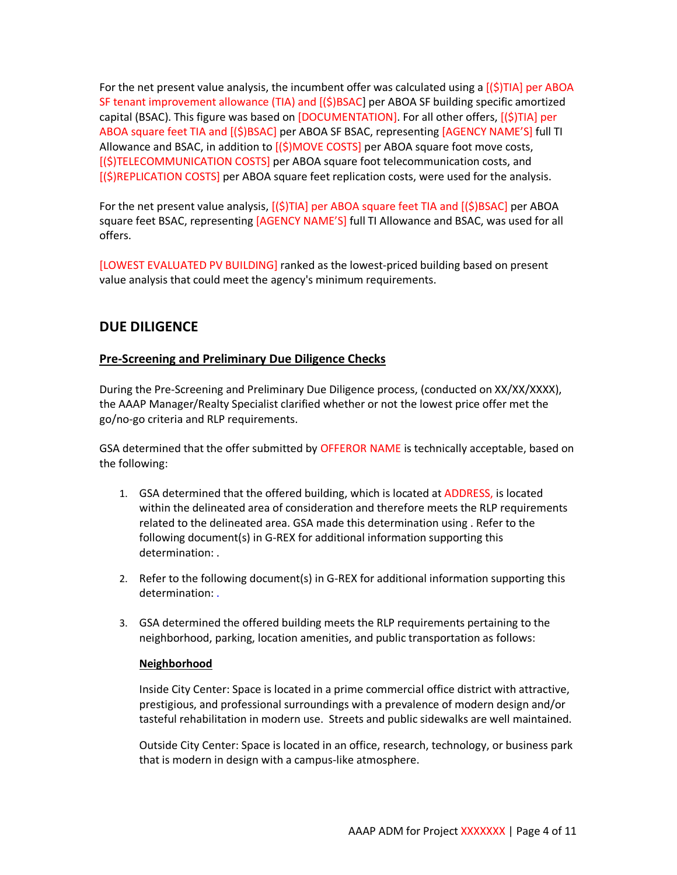For the net present value analysis, the incumbent offer was calculated using a  $\lceil(\xi)T|A\rceil$  per ABOA SF tenant improvement allowance (TIA) and [(\$)BSAC] per ABOA SF building specific amortized capital (BSAC). This figure was based on  $[DOCUMENTATION]$ . For all other offers,  $[(\text{S})TIA]$  per ABOA square feet TIA and [(\$)BSAC] per ABOA SF BSAC, representing [AGENCY NAME'S] full TI Allowance and BSAC, in addition to  $[(\text{S})$ MOVE COSTS] per ABOA square foot move costs, [(\$)TELECOMMUNICATION COSTS] per ABOA square foot telecommunication costs, and [(\$)REPLICATION COSTS] per ABOA square feet replication costs, were used for the analysis.

For the net present value analysis,  $[(\xi)TIA]$  per ABOA square feet TIA and  $[(\xi)BSAC]$  per ABOA square feet BSAC, representing [AGENCY NAME'S] full TI Allowance and BSAC, was used for all offers.

[LOWEST EVALUATED PV BUILDING] ranked as the lowest-priced building based on present value analysis that could meet the agency's minimum requirements.

# **DUE DILIGENCE**

### **Pre-Screening and Preliminary Due Diligence Checks**

During the Pre-Screening and Preliminary Due Diligence process, (conducted on XX/XX/XXXX), the AAAP Manager/Realty Specialist clarified whether or not the lowest price offer met the go/no-go criteria and RLP requirements.

GSA determined that the offer submitted by OFFEROR NAME is technically acceptable, based on the following:

- 1. GSA determined that the offered building, which is located at ADDRESS, is located within the delineated area of consideration and therefore meets the RLP requirements related to the delineated area. GSA made this determination using . Refer to the following document(s) in G-REX for additional information supporting this determination: .
- 2. Refer to the following document(s) in G-REX for additional information supporting this determination: .
- 3. GSA determined the offered building meets the RLP requirements pertaining to the neighborhood, parking, location amenities, and public transportation as follows:

### **Neighborhood**

Inside City Center: Space is located in a prime commercial office district with attractive, prestigious, and professional surroundings with a prevalence of modern design and/or tasteful rehabilitation in modern use. Streets and public sidewalks are well maintained.

Outside City Center: Space is located in an office, research, technology, or business park that is modern in design with a campus-like atmosphere.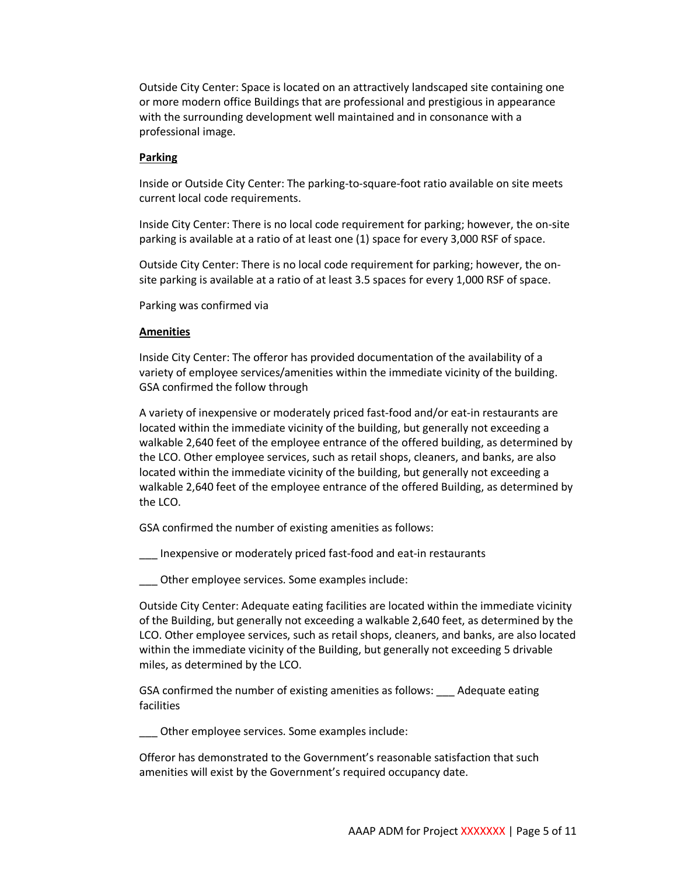Outside City Center: Space is located on an attractively landscaped site containing one or more modern office Buildings that are professional and prestigious in appearance with the surrounding development well maintained and in consonance with a professional image.

#### **Parking**

Inside or Outside City Center: The parking-to-square-foot ratio available on site meets current local code requirements.

Inside City Center: There is no local code requirement for parking; however, the on-site parking is available at a ratio of at least one (1) space for every 3,000 RSF of space.

Outside City Center: There is no local code requirement for parking; however, the onsite parking is available at a ratio of at least 3.5 spaces for every 1,000 RSF of space.

Parking was confirmed via

#### **Amenities**

Inside City Center: The offeror has provided documentation of the availability of a variety of employee services/amenities within the immediate vicinity of the building. GSA confirmed the follow through

A variety of inexpensive or moderately priced fast-food and/or eat-in restaurants are located within the immediate vicinity of the building, but generally not exceeding a walkable 2,640 feet of the employee entrance of the offered building, as determined by the LCO. Other employee services, such as retail shops, cleaners, and banks, are also located within the immediate vicinity of the building, but generally not exceeding a walkable 2,640 feet of the employee entrance of the offered Building, as determined by the LCO.

GSA confirmed the number of existing amenities as follows:

\_\_\_ Inexpensive or moderately priced fast-food and eat-in restaurants

Other employee services. Some examples include:

Outside City Center: Adequate eating facilities are located within the immediate vicinity of the Building, but generally not exceeding a walkable 2,640 feet, as determined by the LCO. Other employee services, such as retail shops, cleaners, and banks, are also located within the immediate vicinity of the Building, but generally not exceeding 5 drivable miles, as determined by the LCO.

GSA confirmed the number of existing amenities as follows: \_\_\_ Adequate eating facilities

\_\_\_ Other employee services. Some examples include:

Offeror has demonstrated to the Government's reasonable satisfaction that such amenities will exist by the Government's required occupancy date.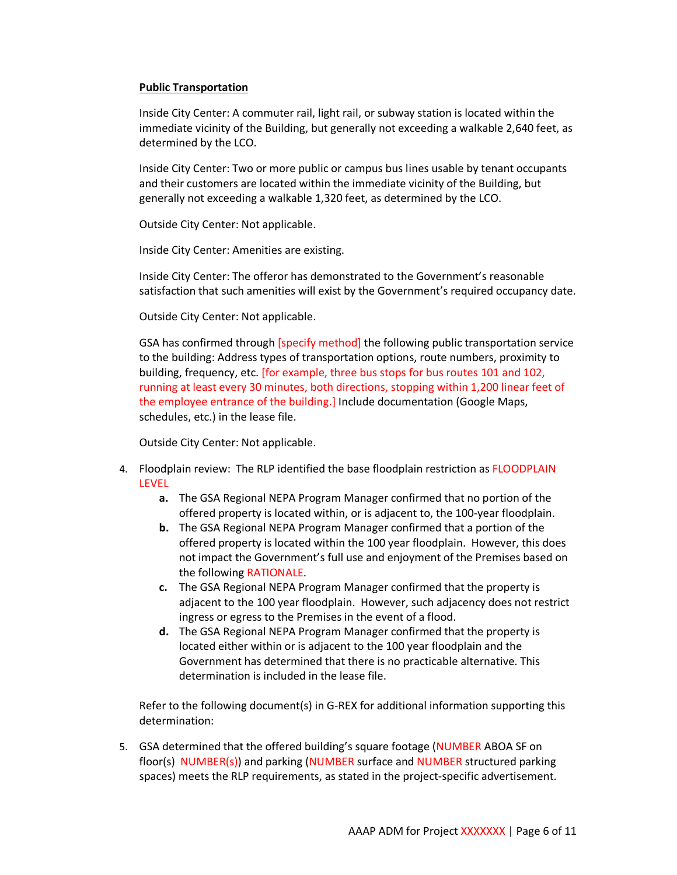#### **Public Transportation**

Inside City Center: A commuter rail, light rail, or subway station is located within the immediate vicinity of the Building, but generally not exceeding a walkable 2,640 feet, as determined by the LCO.

Inside City Center: Two or more public or campus bus lines usable by tenant occupants and their customers are located within the immediate vicinity of the Building, but generally not exceeding a walkable 1,320 feet, as determined by the LCO.

Outside City Center: Not applicable.

Inside City Center: Amenities are existing.

Inside City Center: The offeror has demonstrated to the Government's reasonable satisfaction that such amenities will exist by the Government's required occupancy date.

Outside City Center: Not applicable.

GSA has confirmed through [specify method] the following public transportation service to the building: Address types of transportation options, route numbers, proximity to building, frequency, etc. [for example, three bus stops for bus routes 101 and 102, running at least every 30 minutes, both directions, stopping within 1,200 linear feet of the employee entrance of the building.] Include documentation (Google Maps, schedules, etc.) in the lease file.

Outside City Center: Not applicable.

- 4. Floodplain review: The RLP identified the base floodplain restriction as FLOODPLAIN LEVEL
	- **a.** The GSA Regional NEPA Program Manager confirmed that no portion of the offered property is located within, or is adjacent to, the 100-year floodplain.
	- **b.** The GSA Regional NEPA Program Manager confirmed that a portion of the offered property is located within the 100 year floodplain. However, this does not impact the Government's full use and enjoyment of the Premises based on the following RATIONALE.
	- **c.** The GSA Regional NEPA Program Manager confirmed that the property is adjacent to the 100 year floodplain. However, such adjacency does not restrict ingress or egress to the Premises in the event of a flood.
	- **d.** The GSA Regional NEPA Program Manager confirmed that the property is located either within or is adjacent to the 100 year floodplain and the Government has determined that there is no practicable alternative. This determination is included in the lease file.

Refer to the following document(s) in G-REX for additional information supporting this determination:

5. GSA determined that the offered building's square footage (NUMBER ABOA SF on floor(s) NUMBER(s)) and parking (NUMBER surface and NUMBER structured parking spaces) meets the RLP requirements, as stated in the project-specific advertisement.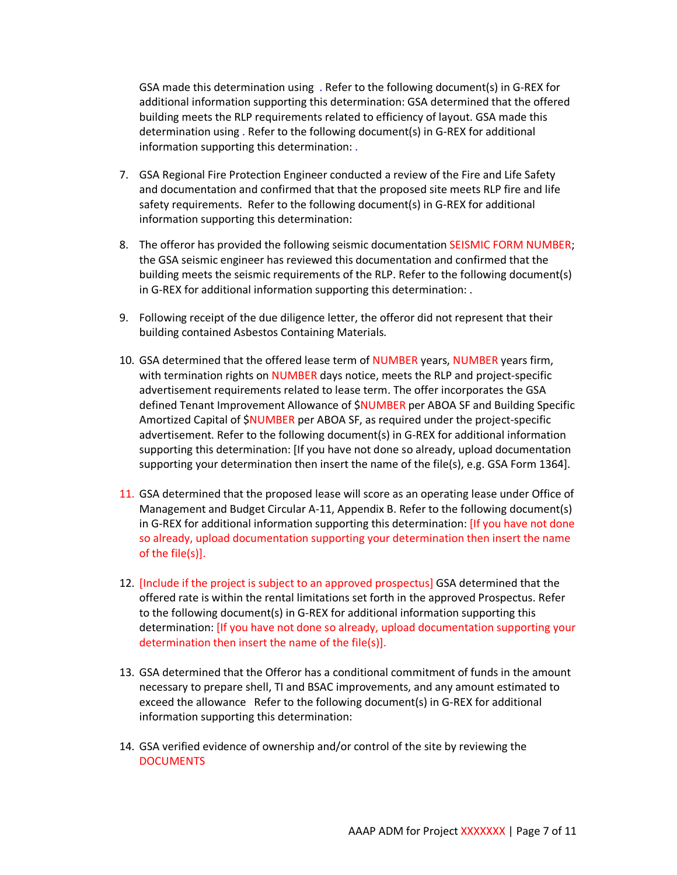GSA made this determination using . Refer to the following document(s) in G-REX for additional information supporting this determination: GSA determined that the offered building meets the RLP requirements related to efficiency of layout. GSA made this determination using . Refer to the following document(s) in G-REX for additional information supporting this determination: .

- 7. GSA Regional Fire Protection Engineer conducted a review of the Fire and Life Safety and documentation and confirmed that that the proposed site meets RLP fire and life safety requirements. Refer to the following document(s) in G-REX for additional information supporting this determination:
- 8. The offeror has provided the following seismic documentation SEISMIC FORM NUMBER; the GSA seismic engineer has reviewed this documentation and confirmed that the building meets the seismic requirements of the RLP. Refer to the following document(s) in G-REX for additional information supporting this determination: .
- 9. Following receipt of the due diligence letter, the offeror did not represent that their building contained Asbestos Containing Materials.
- 10. GSA determined that the offered lease term of NUMBER years, NUMBER years firm, with termination rights on NUMBER days notice, meets the RLP and project-specific advertisement requirements related to lease term. The offer incorporates the GSA defined Tenant Improvement Allowance of \$NUMBER per ABOA SF and Building Specific Amortized Capital of \$NUMBER per ABOA SF, as required under the project-specific advertisement. Refer to the following document(s) in G-REX for additional information supporting this determination: [If you have not done so already, upload documentation supporting your determination then insert the name of the file(s), e.g. GSA Form 1364].
- 11. GSA determined that the proposed lease will score as an operating lease under Office of Management and Budget Circular A-11, Appendix B. Refer to the following document(s) in G-REX for additional information supporting this determination: [If you have not done so already, upload documentation supporting your determination then insert the name of the file(s)].
- 12. [Include if the project is subject to an approved prospectus] GSA determined that the offered rate is within the rental limitations set forth in the approved Prospectus. Refer to the following document(s) in G-REX for additional information supporting this determination: [If you have not done so already, upload documentation supporting your determination then insert the name of the file(s)].
- 13. GSA determined that the Offeror has a conditional commitment of funds in the amount necessary to prepare shell, TI and BSAC improvements, and any amount estimated to exceed the allowance Refer to the following document(s) in G-REX for additional information supporting this determination:
- 14. GSA verified evidence of ownership and/or control of the site by reviewing the **DOCUMENTS**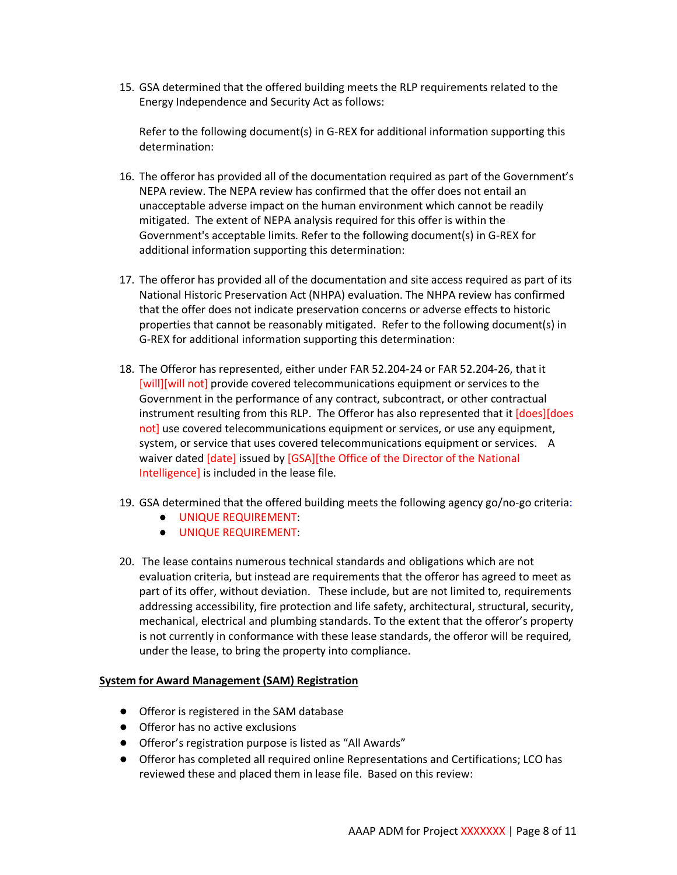15. GSA determined that the offered building meets the RLP requirements related to the Energy Independence and Security Act as follows:

Refer to the following document(s) in G-REX for additional information supporting this determination:

- 16. The offeror has provided all of the documentation required as part of the Government's NEPA review. The NEPA review has confirmed that the offer does not entail an unacceptable adverse impact on the human environment which cannot be readily mitigated. The extent of NEPA analysis required for this offer is within the Government's acceptable limits. Refer to the following document(s) in G-REX for additional information supporting this determination:
- 17. The offeror has provided all of the documentation and site access required as part of its National Historic Preservation Act (NHPA) evaluation. The NHPA review has confirmed that the offer does not indicate preservation concerns or adverse effects to historic properties that cannot be reasonably mitigated. Refer to the following document(s) in G-REX for additional information supporting this determination:
- 18. The Offeror has represented, either under FAR 52.204-24 or FAR 52.204-26, that it [will][will not] provide covered telecommunications equipment or services to the Government in the performance of any contract, subcontract, or other contractual instrument resulting from this RLP. The Offeror has also represented that it [does][does not] use covered telecommunications equipment or services, or use any equipment, system, or service that uses covered telecommunications equipment or services. A waiver dated [date] issued by [GSA][the Office of the Director of the National Intelligence] is included in the lease file.
- 19. GSA determined that the offered building meets the following agency go/no-go criteria:
	- UNIQUE REQUIREMENT:
	- UNIQUE REQUIREMENT:
- 20. The lease contains numerous technical standards and obligations which are not evaluation criteria, but instead are requirements that the offeror has agreed to meet as part of its offer, without deviation. These include, but are not limited to, requirements addressing accessibility, fire protection and life safety, architectural, structural, security, mechanical, electrical and plumbing standards. To the extent that the offeror's property is not currently in conformance with these lease standards, the offeror will be required, under the lease, to bring the property into compliance.

#### **System for Award Management (SAM) Registration**

- Offeror is registered in the SAM database
- Offeror has no active exclusions
- Offeror's registration purpose is listed as "All Awards"
- Offeror has completed all required online Representations and Certifications; LCO has reviewed these and placed them in lease file. Based on this review: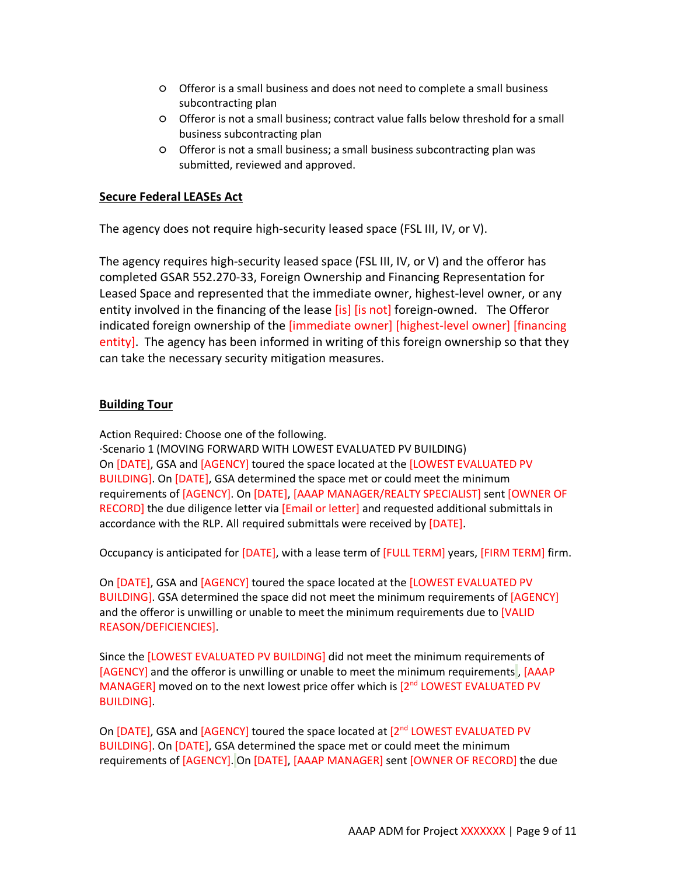- Offeror is a small business and does not need to complete a small business subcontracting plan
- Offeror is not a small business; contract value falls below threshold for a small business subcontracting plan
- Offeror is not a small business; a small business subcontracting plan was submitted, reviewed and approved.

### **Secure Federal LEASEs Act**

The agency does not require high-security leased space (FSL III, IV, or V).

The agency requires high-security leased space (FSL III, IV, or V) and the offeror has completed GSAR 552.270-33, Foreign Ownership and Financing Representation for Leased Space and represented that the immediate owner, highest-level owner, or any entity involved in the financing of the lease [is] [is not] foreign-owned. The Offeror indicated foreign ownership of the [immediate owner] [highest-level owner] [financing entity]. The agency has been informed in writing of this foreign ownership so that they can take the necessary security mitigation measures.

### **Building Tour**

Action Required: Choose one of the following.

·Scenario 1 (MOVING FORWARD WITH LOWEST EVALUATED PV BUILDING) On [DATE], GSA and [AGENCY] toured the space located at the [LOWEST EVALUATED PV BUILDING]. On [DATE], GSA determined the space met or could meet the minimum requirements of [AGENCY]. On [DATE], [AAAP MANAGER/REALTY SPECIALIST] sent [OWNER OF RECORD] the due diligence letter via [Email or letter] and requested additional submittals in accordance with the RLP. All required submittals were received by [DATE].

Occupancy is anticipated for [DATE], with a lease term of [FULL TERM] years, [FIRM TERM] firm.

On [DATE], GSA and [AGENCY] toured the space located at the [LOWEST EVALUATED PV BUILDING]. GSA determined the space did not meet the minimum requirements of [AGENCY] and the offeror is unwilling or unable to meet the minimum requirements due to [VALID REASON/DEFICIENCIES].

Since the [LOWEST EVALUATED PV BUILDING] did not meet the minimum requirements of [AGENCY] and the offeror is unwilling or unable to meet the minimum requirements , [AAAP MANAGER] moved on to the next lowest price offer which is  $[2^{nd}$  LOWEST EVALUATED PV BUILDING].

On  $[DATE]$ , GSA and  $[AGENCY]$  toured the space located at  $[2^{nd}$  LOWEST EVALUATED PV BUILDING]. On [DATE], GSA determined the space met or could meet the minimum requirements of [AGENCY]. On [DATE], [AAAP MANAGER] sent [OWNER OF RECORD] the due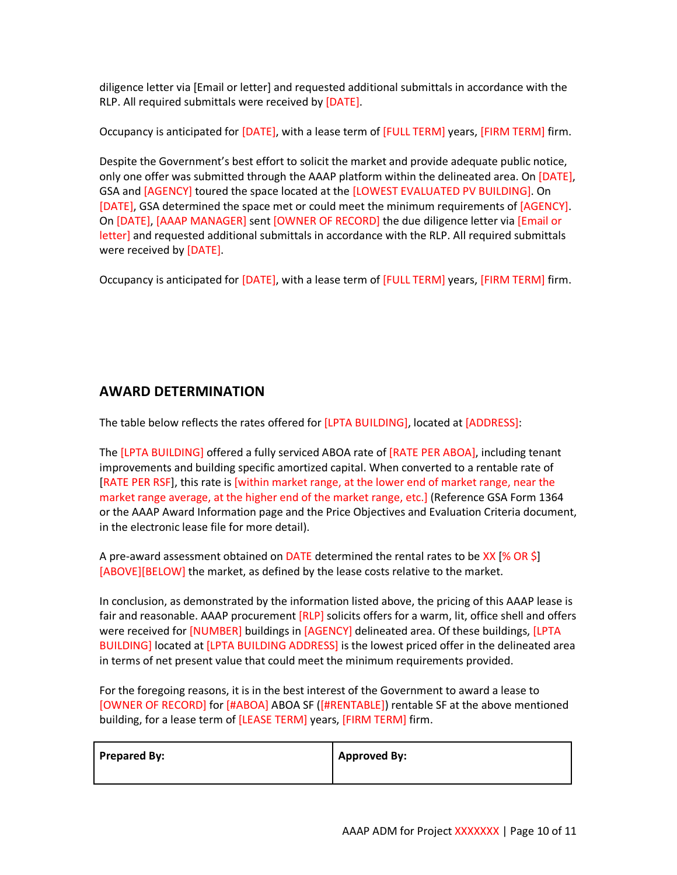diligence letter via [Email or letter] and requested additional submittals in accordance with the RLP. All required submittals were received by [DATE].

Occupancy is anticipated for [DATE], with a lease term of [FULL TERM] years, [FIRM TERM] firm.

Despite the Government's best effort to solicit the market and provide adequate public notice, only one offer was submitted through the AAAP platform within the delineated area. On [DATE], GSA and [AGENCY] toured the space located at the [LOWEST EVALUATED PV BUILDING]. On [DATE], GSA determined the space met or could meet the minimum requirements of [AGENCY]. On [DATE], [AAAP MANAGER] sent [OWNER OF RECORD] the due diligence letter via [Email or letter] and requested additional submittals in accordance with the RLP. All required submittals were received by [DATE].

Occupancy is anticipated for [DATE], with a lease term of [FULL TERM] years, [FIRM TERM] firm.

# **AWARD DETERMINATION**

The table below reflects the rates offered for [LPTA BUILDING], located at [ADDRESS]:

The [LPTA BUILDING] offered a fully serviced ABOA rate of [RATE PER ABOA], including tenant improvements and building specific amortized capital. When converted to a rentable rate of [RATE PER RSF], this rate is [within market range, at the lower end of market range, near the market range average, at the higher end of the market range, etc.] (Reference GSA Form 1364 or the AAAP Award Information page and the Price Objectives and Evaluation Criteria document, in the electronic lease file for more detail).

A pre-award assessment obtained on DATE determined the rental rates to be XX [% OR \$] [ABOVE][BELOW] the market, as defined by the lease costs relative to the market.

In conclusion, as demonstrated by the information listed above, the pricing of this AAAP lease is fair and reasonable. AAAP procurement [RLP] solicits offers for a warm, lit, office shell and offers were received for [NUMBER] buildings in [AGENCY] delineated area. Of these buildings, [LPTA BUILDING] located at [LPTA BUILDING ADDRESS] is the lowest priced offer in the delineated area in terms of net present value that could meet the minimum requirements provided.

For the foregoing reasons, it is in the best interest of the Government to award a lease to [OWNER OF RECORD] for [#ABOA] ABOA SF ([#RENTABLE]) rentable SF at the above mentioned building, for a lease term of [LEASE TERM] years, [FIRM TERM] firm.

| Prepared By: | <b>Approved By:</b> |
|--------------|---------------------|
|              |                     |